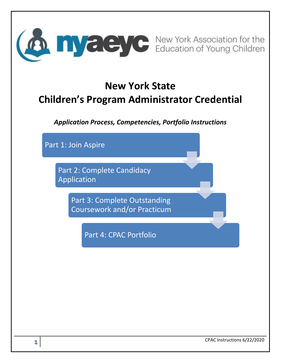

# **New York State Children's Program Administrator Credential**

*Application Process, Competencies, Portfolio Instructions*

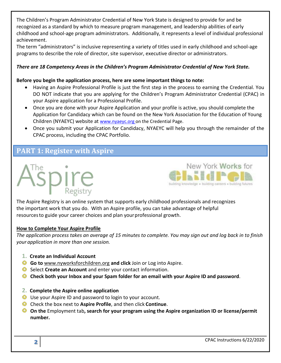The Children's Program Administrator Credential of New York State is designed to provide for and be recognized as a standard by which to measure program management, and leadership abilities of early childhood and school-age program administrators. Additionally, it represents a level of individual professional achievement.

The term "administrators" is inclusive representing a variety of titles used in early childhood and school-age programs to describe the role of director, site supervisor, executive director or administrators.

#### *There are 18 Competency Areas in the Children's Program Administrator Credential of New York State.*

#### **Before you begin the application process, here are some important things to note:**

- Having an Aspire Professional Profile is just the first step in the process to earning the Credential. You DO NOT indicate that you are applying for the Children's Program Administrator Credential (CPAC) in your Aspire application for a Professional Profile.
- Once you are done with your Aspire Application and your profile is active, you should complete the Application for Candidacy which can be found on the New York Association for the Education of Young Children (NYAEYC) website at [www.nyaeyc.org](http://www.nyaeyc.org/) on the Credential Page.
- Once you submit your Application for Candidacy, NYAEYC will help you through the remainder of the CPAC process, including the CPAC Portfolio.

# **PART 1: Register with Aspire**





The Aspire Registry is an online system that supports early childhood professionals and recognizes the important work that you do. With an Aspire profile, you can take advantage of helpful resourcesto guide your career choices and plan yourprofessional growth.

#### **How to Complete Your Aspire Profile**

*The application process takes an average of 15 minutes to complete. You may sign out and log back in to finish your application in more than one session.*

- **1. Create an Individual Account**
- **Go to** [www.nyworksforchildren.org](http://www.nyworksforchildren.org/) **and click** Join or Log into Aspire.
- Select **Create an Account** and enter your contact information.
- **Check both your Inbox and your Spam folder for an email with your Aspire ID and password**.
- **2. Complete the Aspire online application**
- Use your Aspire ID and password to login to your account.
- Check the box next to **Aspire Profile**, and then click **Continue**.
- **On the** Employment tab**, search for your program using the Aspire organization ID or license/permit number.**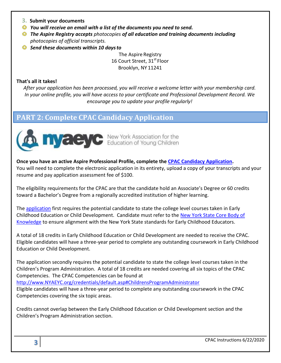- **3. Submit your documents**
- *You will receive an email with a list of the documents you need to send.*
- *The Aspire Registry accepts photocopies of all education and training documents including photocopies of official transcripts.*
- *Send these documents within 10 daysto*

The Aspire Registry 16 Court Street, 31st Floor Brooklyn, NY 11241

#### **That's all it takes!**

*After your application has been processed, you will receive a welcome letter with your membership card. In your online profile, you will have access to your certificate and Professional Development Record. We encourage you to update your profile regularly!*

# **PART 2: Complete CPAC Candidacy Application**



**Once you have an active Aspire Professional Profile, complete the [CPAC Candidacy Application.](https://nysaeyc.formstack.com/forms/nys_cpac_application)** You will need to complete the electronic application in its entirety, upload a copy of your transcripts and your resume and pay application assessment fee of \$100.

The eligibility requirements for the CPAC are that the candidate hold an Associate's Degree or 60 credits toward a Bachelor's Degree from a regionally accredited institution of higher learning.

The [application](https://nysaeyc.formstack.com/forms/nys_cpac_application) first requires the potential candidate to state the college level courses taken in Early Childhood Education or Child Development. Candidate must refer to the [New York State Core Body of](http://www.nyworksforchildren.org/Portals/0/NYWFC_Core-Body-of_Knowledge.pdf)  [Knowledge](http://www.nyworksforchildren.org/Portals/0/NYWFC_Core-Body-of_Knowledge.pdf) to ensure alignment with the New York State standards for Early Childhood Educators.

A total of 18 credits in Early Childhood Education or Child Development are needed to receive the CPAC. Eligible candidates will have a three-year period to complete any outstanding coursework in Early Childhood Education or Child Development.

The application secondly requires the potential candidate to state the college level courses taken in the Children's Program Administration. A total of 18 credits are needed covering all six topics of the CPAC Competencies. The CPAC Competencies can be found at

[http://www.NYAEYC.org/credentials/default.asp#ChildrensProgramAdministrator](http://www.nysaeyc.org/credentials/default.asp#ChildrensProgramAdministrator)

Eligible candidates will have a three-year period to complete any outstanding coursework in the CPAC Competencies covering the six topic areas.

Credits cannot overlap between the Early Childhood Education or Child Development section and the Children's Program Administration section.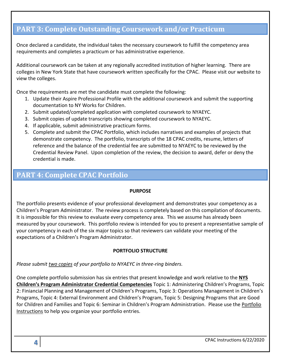# **PART 3: Complete Outstanding Coursework and/or Practicum**

Once declared a candidate, the individual takes the necessary coursework to fulfill the competency area requirements and completes a practicum or has administrative experience.

Additional coursework can be taken at any regionally accredited institution of higher learning. There are colleges in New York State that have coursework written specifically for the CPAC. Please visit our website to view the colleges.

Once the requirements are met the candidate must complete the following:

- 1. Update their Aspire Professional Profile with the additional coursework and submit the supporting documentation to NY Works for Children.
- 2. Submit updated/completed application with completed coursework to NYAEYC.
- 3. Submit copies of update transcripts showing completed coursework to NYAEYC.
- 4. If applicable, submit administrative practicum forms.
- 5. Complete and submit the CPAC Portfolio, which includes narratives and examples of projects that demonstrate competency. The portfolio, transcripts of the 18 CPAC credits, resume, letters of reference and the balance of the credential fee are submitted to NYAEYC to be reviewed by the Credential Review Panel. Upon completion of the review, the decision to award, defer or deny the credential is made.

# **PART 4: Complete CPAC Portfolio**

#### **PURPOSE**

The portfolio presents evidence of your professional development and demonstrates your competency as a Children's Program Administrator. The review process is completely based on this compilation of documents. It is impossible for this review to evaluate every competency area. This we assume has already been measured by your coursework. This portfolio review is intended for you to present a representative sample of your competency in each of the six major topics so that reviewers can validate your meeting of the expectations of a Children's Program Administrator.

#### **PORTFOLIO STRUCTURE**

*Please submit two copies of your portfolio to NYAEYC in three-ring binders.* 

One complete portfolio submission has six entries that present knowledge and work relative to the **NYS Children's Program Administrator Credential Competencies** Topic 1: Administering Children's Programs, Topic 2: Finiancial Planning and Management of Children's Programs, Topic 3: Operations Management in Children's Programs, Topic 4: External Environment and Children's Program, Topic 5: Designing Programs that are Good for Children and Families and Topic 6: Seminar in Children's Program Administration. Please use the Portfolio Instructions to help you organize your portfolio entries.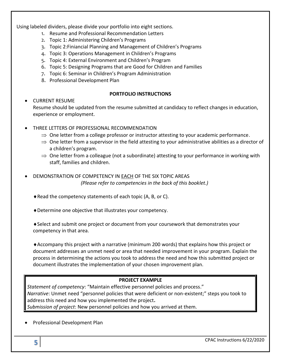Using labeled dividers, please divide your portfolio into eight sections.

- 1. Resume and Professional Recommendation Letters
- 2. Topic 1: Administering Children's Programs
- 3. Topic 2:Finiancial Planning and Management of Children's Programs
- 4. Topic 3: Operations Management in Children's Programs
- 5. Topic 4: External Environment and Children's Program
- 6. Topic 5: Designing Programs that are Good for Children and Families
- 7. Topic 6: Seminar in Children's Program Administration
- 8. Professional Development Plan

#### **PORTFOLIO INSTRUCTIONS**

#### CURRENT RESUME

Resume should be updated from the resume submitted at candidacy to reflect changes in education, experience or employment.

- THREE LETTERS OF PROFESSIONAL RECOMMENDATION
	- $\Rightarrow$  One letter from a college professor or instructor attesting to your academic performance.
	- $\Rightarrow$  One letter from a supervisor in the field attesting to your administrative abilities as a director of a children's program.
	- $\Rightarrow$  One letter from a colleague (not a subordinate) attesting to your performance in working with staff, families and children.
- DEMONSTRATION OF COMPETENCY IN EACH OF THE SIX TOPIC AREAS *(Please refer to competencies in the back of this booklet.)*
	- Read the competency statements of each topic (A, B, or C).
	- Determine one objective that illustrates your competency.

Select and submit one project or document from your coursework that demonstrates your competency in that area.

Accompany this project with a narrative (minimum 200 words) that explains how this project or document addresses an unmet need or area that needed improvement in your program. Explain the process in determining the actions you took to address the need and how this submitted project or document illustrates the implementation of your chosen improvement plan.

#### **PROJECT EXAMPLE**

*Statement of competency*: "Maintain effective personnel policies and process." *Narrative*: Unmet need "personnel policies that were deficient or non-existent;" steps you took to address this need and how you implemented the project**.**  *Submission of project*: New personnel policies and how you arrived at them.

Professional Development Plan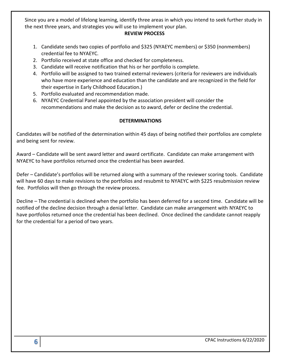Since you are a model of lifelong learning, identify three areas in which you intend to seek further study in the next three years, and strategies you will use to implement your plan.

#### **REVIEW PROCESS**

- 1. Candidate sends two copies of portfolio and \$325 (NYAEYC members) or \$350 (nonmembers) credential fee to NYAEYC.
- 2. Portfolio received at state office and checked for completeness.
- 3. Candidate will receive notification that his or her portfolio is complete.
- 4. Portfolio will be assigned to two trained external reviewers (criteria for reviewers are individuals who have more experience and education than the candidate and are recognized in the field for their expertise in Early Childhood Education.)
- 5. Portfolio evaluated and recommendation made.
- 6. NYAEYC Credential Panel appointed by the association president will consider the recommendations and make the decision as to award, defer or decline the credential.

#### **DETERMINATIONS**

Candidates will be notified of the determination within 45 days of being notified their portfolios are complete and being sent for review.

Award – Candidate will be sent award letter and award certificate. Candidate can make arrangement with NYAEYC to have portfolios returned once the credential has been awarded.

Defer – Candidate's portfolios will be returned along with a summary of the reviewer scoring tools. Candidate will have 60 days to make revisions to the portfolios and resubmit to NYAEYC with \$225 resubmission review fee. Portfolios will then go through the review process.

Decline – The credential is declined when the portfolio has been deferred for a second time. Candidate will be notified of the decline decision through a denial letter. Candidate can make arrangement with NYAEYC to have portfolios returned once the credential has been declined. Once declined the candidate cannot reapply for the credential for a period of two years.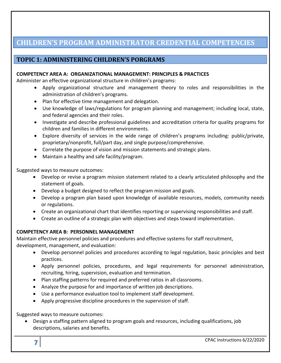# **CHILDREN'S PROGRAM ADMINISTRATOR CREDENTIAL COMPETENCIES**

### **TOPIC 1: ADMINISTERING CHILDREN'S PORGRAMS**

#### **COMPETENCY AREA A: ORGANIZATIONAL MANAGEMENT: PRINCIPLES & PRACTICES**

Administer an effective organizational structure in children's programs:

- Apply organizational structure and management theory to roles and responsibilities in the administration of children's programs.
- Plan for effective time management and delegation.
- Use knowledge of laws/regulations for program planning and management; including local, state, and federal agencies and their roles.
- Investigate and describe professional guidelines and accreditation criteria for quality programs for children and families in different environments.
- Explore diversity of services in the wide range of children's programs including: public/private, proprietary/nonprofit, full/part day, and single purpose/comprehensive.
- Correlate the purpose of vision and mission statements and strategic plans.
- Maintain a healthy and safe facility/program.

Suggested ways to measure outcomes:

- Develop or revise a program mission statement related to a clearly articulated philosophy and the statement of goals.
- Develop a budget designed to reflect the program mission and goals.
- Develop a program plan based upon knowledge of available resources, models, community needs or regulations.
- Create an organizational chart that identifies reporting or supervising responsibilities and staff.
- Create an outline of a strategic plan with objectives and steps toward implementation.

#### **COMPETENCY AREA B: PERSONNEL MANAGEMENT**

Maintain effective personnel policies and procedures and effective systems for staff recruitment,

development, management, and evaluation:

- Develop personnel policies and procedures according to legal regulation, basic principles and best practices.
- Apply personnel policies, procedures, and legal requirements for personnel administration, recruiting, hiring, supervision, evaluation and termination.
- Plan staffing patterns for required and preferred ratios in all classrooms.
- Analyze the purpose for and importance of written job descriptions.
- Use a performance evaluation tool to implement staff development.
- Apply progressive discipline procedures in the supervision of staff.

Suggested ways to measure outcomes:

 Design a staffing pattern aligned to program goals and resources, including qualifications, job descriptions, salaries and benefits.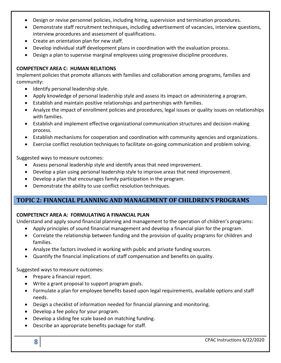- Design or revise personnel policies, including hiring, supervision and termination procedures.
- Demonstrate staff recruitment techniques, including advertisement of vacancies, interview questions, interview procedures and assessment of qualifications.
- Create an orientation plan for new staff.
- Develop individual staff development plans in coordination with the evaluation process.
- Design a plan to supervise marginal employees using progressive discipline procedures.

#### **COMPETENCY AREA C: HUMAN RELATIONS**

Implement policies that promote alliances with families and collaboration among programs, families and community:

- Identify personal leadership style.
- Apply knowledge of personal leadership style and assess its impact on administering a program.
- Establish and maintain positive relationships and partnerships with families.
- Analyze the impact of enrollment policies and procedures, legal issues or quality issues on relationships with families.
- Establish and implement effective organizational communication structures and decision-making process.
- Establish mechanisms for cooperation and coordination with community agencies and organizations.
- Exercise conflict resolution techniques to facilitate on-going communication and problem solving.

Suggested ways to measure outcomes:

- Assess personal leadership style and identify areas that need improvement.
- Develop a plan using personal leadership style to improve areas that need improvement.
- Develop a plan that encourages family participation in the program.
- Demonstrate the ability to use conflict resolution techniques.

### **TOPIC 2: FINANCIAL PLANNING AND MANAGEMENT OF CHILDREN'S PROGRAMS**

#### **COMPETENCY AREA A: FORMULATING A FINANCIAL PLAN**

Understand and apply sound financial planning and management to the operation of children's programs:

- Apply principles of sound financial management and develop a financial plan for the program.
- Correlate the relationship between funding and the provision of quality programs for children and families.
- Analyze the factors involved in working with public and private funding sources.
- Quantify the financial implications of staff compensation and benefits on quality.

Suggested ways to measure outcomes:

- Prepare a financial report.
- Write a grant proposal to support program goals.
- Formulate a plan for employee benefits based upon legal requirements, available options and staff needs.
- Design a checklist of information needed for financial planning and monitoring.
- Develop a fee policy for your program.
- Develop a sliding fee scale based on matching funding.
- Describe an appropriate benefits package for staff.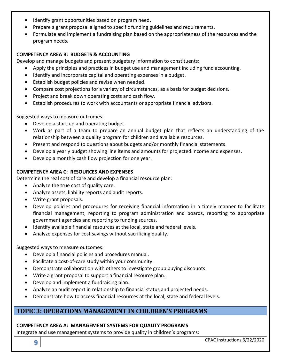- Identify grant opportunities based on program need.
- Prepare a grant proposal aligned to specific funding guidelines and requirements.
- Formulate and implement a fundraising plan based on the appropriateness of the resources and the program needs.

#### **COMPETENCY AREA B: BUDGETS & ACCOUNTING**

Develop and manage budgets and present budgetary information to constituents:

- Apply the principles and practices in budget use and management including fund accounting.
- Identify and incorporate capital and operating expenses in a budget.
- Establish budget policies and revise when needed.
- Compare cost projections for a variety of circumstances, as a basis for budget decisions.
- Project and break down operating costs and cash flow.
- Establish procedures to work with accountants or appropriate financial advisors.

Suggested ways to measure outcomes:

- Develop a start-up and operating budget.
- Work as part of a team to prepare an annual budget plan that reflects an understanding of the relationship between a quality program for children and available resources.
- Present and respond to questions about budgets and/or monthly financial statements.
- Develop a yearly budget showing line items and amounts for projected income and expenses.
- Develop a monthly cash flow projection for one year.

#### **COMPETENCY AREA C: RESOURCES AND EXPENSES**

Determine the real cost of care and develop a financial resource plan:

- Analyze the true cost of quality care.
- Analyze assets, liability reports and audit reports.
- Write grant proposals.
- Develop policies and procedures for receiving financial information in a timely manner to facilitate financial management, reporting to program administration and boards, reporting to appropriate government agencies and reporting to funding sources.
- Identify available financial resources at the local, state and federal levels.
- Analyze expenses for cost savings without sacrificing quality.

Suggested ways to measure outcomes:

- Develop a financial policies and procedures manual.
- Facilitate a cost-of-care study within your community.
- Demonstrate collaboration with others to investigate group buying discounts.
- Write a grant proposal to support a financial resource plan.
- Develop and implement a fundraising plan.
- Analyze an audit report in relationship to financial status and projected needs.
- Demonstrate how to access financial resources at the local, state and federal levels.

### **TOPIC 3: OPERATIONS MANAGEMENT IN CHILDREN'S PROGRAMS**

#### **COMPETENCY AREA A: MANAGEMENT SYSTEMS FOR QUALITY PROGRAMS**

Integrate and use management systems to provide quality in children's programs:

CPAC Instructions 6/22/2020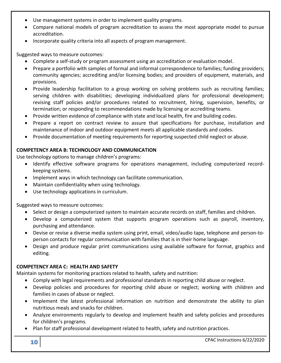- Use management systems in order to implement quality programs.
- Compare national models of program accreditation to assess the most appropriate model to pursue accreditation.
- Incorporate quality criteria into all aspects of program management.

- Complete a self-study or program assessment using an accreditation or evaluation model.
- Prepare a portfolio with samples of formal and informal correspondence to families; funding providers; community agencies; accrediting and/or licensing bodies; and providers of equipment, materials, and provisions.
- Provide leadership facilitation to a group working on solving problems such as recruiting families; serving children with disabilities; developing individualized plans for professional development; revising staff policies and/or procedures related to recruitment, hiring, supervision, benefits, or termination; or responding to recommendations made by licensing or accrediting teams.
- Provide written evidence of compliance with state and local health, fire and building codes.
- Prepare a report on contract review to assure that specifications for purchase, installation and maintenance of indoor and outdoor equipment meets all applicable standards and codes.
- Provide documentation of meeting requirements for reporting suspected child neglect or abuse.

#### **COMPETENCY AREA B: TECHNOLOGY AND COMMUNICATION**

Use technology options to manage children's programs:

- Identify effective software programs for operations management, including computerized recordkeeping systems.
- Implement ways in which technology can facilitate communication.
- Maintain confidentiality when using technology.
- Use technology applications in curriculum.

Suggested ways to measure outcomes:

- Select or design a computerized system to maintain accurate records on staff, families and children.
- Develop a computerized system that supports program operations such as payroll, inventory, purchasing and attendance.
- Devise or revise a diverse media system using print, email, video/audio tape, telephone and person-toperson contacts for regular communication with families that is in their home language.
- Design and produce regular print communications using available software for format, graphics and editing.

#### **COMPETENCY AREA C: HEALTH AND SAFETY**

Maintain systems for monitoring practices related to health, safety and nutrition:

- Comply with legal requirements and professional standards in reporting child abuse or neglect.
- Develop policies and procedures for reporting child abuse or neglect; working with children and families in cases of abuse or neglect.
- Implement the latest professional information on nutrition and demonstrate the ability to plan nutritious meals and snacks for children.
- Analyze environments regularly to develop and implement health and safety policies and procedures for children's programs.
- Plan for staff professional development related to health, safety and nutrition practices.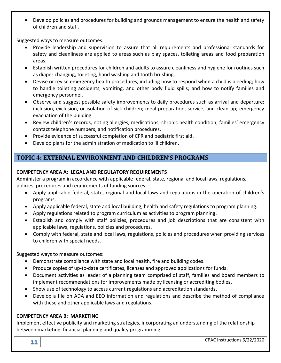Develop policies and procedures for building and grounds management to ensure the health and safety of children and staff.

Suggested ways to measure outcomes:

- Provide leadership and supervision to assure that all requirements and professional standards for safety and cleanliness are applied to areas such as play spaces, toileting areas and food preparation areas.
- Establish written procedures for children and adults to assure cleanliness and hygiene for routines such as diaper changing, toileting, hand washing and tooth brushing.
- Devise or revise emergency health procedures, including how to respond when a child is bleeding; how to handle toileting accidents, vomiting, and other body fluid spills; and how to notify families and emergency personnel.
- Observe and suggest possible safety improvements to daily procedures such as arrival and departure; inclusion, exclusion, or isolation of sick children; meal preparation, service, and clean up; emergency evacuation of the building.
- Review children's records, noting allergies, medications, chronic health condition, families' emergency contact telephone numbers, and notification procedures.
- Provide evidence of successful completion of CPR and pediatric first aid.
- Develop plans for the administration of medication to ill children.

### **TOPIC 4: EXTERNAL ENVIRONMENT AND CHILDREN'S PROGRAMS**

#### **COMPETENCY AREA A: LEGAL AND REGULATORY REQUIREMENTS**

Administer a program in accordance with applicable federal, state, regional and local laws, regulations, policies, procedures and requirements of funding sources:

- Apply applicable federal, state, regional and local laws and regulations in the operation of children's programs.
- Apply applicable federal, state and local building, health and safety regulations to program planning.
- Apply regulations related to program curriculum as activities to program planning.
- Establish and comply with staff policies, procedures and job descriptions that are consistent with applicable laws, regulations, policies and procedures.
- Comply with federal, state and local laws, regulations, policies and procedures when providing services to children with special needs.

Suggested ways to measure outcomes:

- Demonstrate compliance with state and local health, fire and building codes.
- Produce copies of up-to-date certificates, licenses and approved applications for funds.
- Document activities as leader of a planning team comprised of staff, families and board members to implement recommendations for improvements made by licensing or accrediting bodies.
- Show use of technology to access current regulations and accreditation standards.
- Develop a file on ADA and EEO information and regulations and describe the method of compliance with these and other applicable laws and regulations.

#### **COMPETENCY AREA B: MARKETING**

Implement effective publicity and marketing strategies, incorporating an understanding of the relationship between marketing, financial planning and quality programming: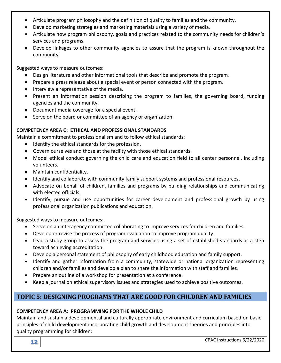- Articulate program philosophy and the definition of quality to families and the community.
- Develop marketing strategies and marketing materials using a variety of media.
- Articulate how program philosophy, goals and practices related to the community needs for children's services and programs.
- Develop linkages to other community agencies to assure that the program is known throughout the community.

- Design literature and other informational tools that describe and promote the program.
- Prepare a press release about a special event or person connected with the program.
- Interview a representative of the media.
- Present an information session describing the program to families, the governing board, funding agencies and the community.
- Document media coverage for a special event.
- Serve on the board or committee of an agency or organization.

#### **COMPETENCY AREA C: ETHICAL AND PROFESSIONAL STANDARDS**

Maintain a commitment to professionalism and to follow ethical standards:

- $\bullet$  Identify the ethical standards for the profession.
- Govern ourselves and those at the facility with those ethical standards.
- Model ethical conduct governing the child care and education field to all center personnel, including volunteers.
- Maintain confidentiality.
- Identify and collaborate with community family support systems and professional resources.
- Advocate on behalf of children, families and programs by building relationships and communicating with elected officials.
- Identify, pursue and use opportunities for career development and professional growth by using professional organization publications and education.

Suggested ways to measure outcomes:

- Serve on an interagency committee collaborating to improve services for children and families.
- Develop or revise the process of program evaluation to improve program quality.
- Lead a study group to assess the program and services using a set of established standards as a step toward achieving accreditation.
- Develop a personal statement of philosophy of early childhood education and family support.
- Identify and gather information from a community, statewide or national organization representing children and/or families and develop a plan to share the information with staff and families.
- Prepare an outline of a workshop for presentation at a conference.
- Keep a journal on ethical supervisory issues and strategies used to achieve positive outcomes.

# **TOPIC 5: DESIGNING PROGRAMS THAT ARE GOOD FOR CHILDREN AND FAMILIES**

#### **COMPETENCY AREA A: PROGRAMMING FOR THE WHOLE CHILD**

Maintain and sustain a developmental and culturally appropriate environment and curriculum based on basic principles of child development incorporating child growth and development theories and principles into quality programming for children: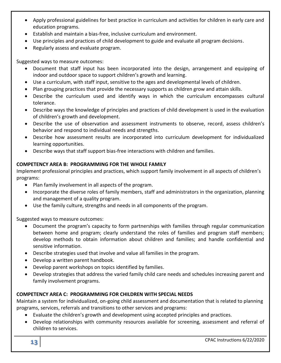- Apply professional guidelines for best practice in curriculum and activities for children in early care and education programs.
- Establish and maintain a bias-free, inclusive curriculum and environment.
- Use principles and practices of child development to guide and evaluate all program decisions.
- Regularly assess and evaluate program.

- Document that staff input has been incorporated into the design, arrangement and equipping of indoor and outdoor space to support children's growth and learning.
- Use a curriculum, with staff input, sensitive to the ages and developmental levels of children.
- Plan grouping practices that provide the necessary supports as children grow and attain skills.
- Describe the curriculum used and identify ways in which the curriculum encompasses cultural tolerance.
- Describe ways the knowledge of principles and practices of child development is used in the evaluation of children's growth and development.
- Describe the use of observation and assessment instruments to observe, record, assess children's behavior and respond to individual needs and strengths.
- Describe how assessment results are incorporated into curriculum development for individualized learning opportunities.
- Describe ways that staff support bias-free interactions with children and families.

#### **COMPETENCY AREA B: PROGRAMMING FOR THE WHOLE FAMILY**

Implement professional principles and practices, which support family involvement in all aspects of children's programs:

- Plan family involvement in all aspects of the program.
- Incorporate the diverse roles of family members, staff and administrators in the organization, planning and management of a quality program.
- Use the family culture, strengths and needs in all components of the program.

Suggested ways to measure outcomes:

- Document the program's capacity to form partnerships with families through regular communication between home and program; clearly understand the roles of families and program staff members; develop methods to obtain information about children and families; and handle confidential and sensitive information.
- Describe strategies used that involve and value all families in the program.
- Develop a written parent handbook.
- Develop parent workshops on topics identified by families.
- Develop strategies that address the varied family child care needs and schedules increasing parent and family involvement programs.

#### **COMPETENCY AREA C: PROGRAMMING FOR CHILDREN WITH SPECIAL NEEDS**

Maintain a system for individualized, on-going child assessment and documentation that is related to planning programs, services, referrals and transitions to other services and programs:

- Evaluate the children's growth and development using accepted principles and practices.
- Develop relationships with community resources available for screening, assessment and referral of children to services.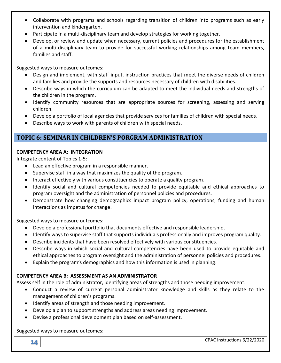- Collaborate with programs and schools regarding transition of children into programs such as early intervention and kindergarten.
- Participate in a multi-disciplinary team and develop strategies for working together.
- Develop, or review and update when necessary, current policies and procedures for the establishment of a multi-disciplinary team to provide for successful working relationships among team members, families and staff.

- Design and implement, with staff input, instruction practices that meet the diverse needs of children and families and provide the supports and resources necessary of children with disabilities.
- Describe ways in which the curriculum can be adapted to meet the individual needs and strengths of the children in the program.
- Identify community resources that are appropriate sources for screening, assessing and serving children.
- Develop a portfolio of local agencies that provide services for families of children with special needs.
- Describe ways to work with parents of children with special needs.

### **TOPIC 6: SEMINAR IN CHILDREN'S PORGRAM ADMINISTRATION**

#### **COMPETENCY AREA A: INTEGRATION**

Integrate content of Topics 1-5:

- Lead an effective program in a responsible manner.
- Supervise staff in a way that maximizes the quality of the program.
- Interact effectively with various constituencies to operate a quality program.
- Identify social and cultural competencies needed to provide equitable and ethical approaches to program oversight and the administration of personnel policies and procedures.
- Demonstrate how changing demographics impact program policy, operations, funding and human interactions as impetus for change.

Suggested ways to measure outcomes:

- Develop a professional portfolio that documents effective and responsible leadership.
- Identify ways to supervise staff that supports individuals professionally and improves program quality.
- Describe incidents that have been resolved effectively with various constituencies.
- Describe ways in which social and cultural competencies have been used to provide equitable and ethical approaches to program oversight and the administration of personnel policies and procedures.
- Explain the program's demographics and how this information is used in planning.

#### **COMPETENCY AREA B: ASSESSMENT AS AN ADMINISTRATOR**

Assess self in the role of administrator, identifying areas of strengths and those needing improvement:

- Conduct a review of current personal administrator knowledge and skills as they relate to the management of children's programs.
- Identify areas of strength and those needing improvement.
- Develop a plan to support strengths and address areas needing improvement.
- Devise a professional development plan based on self-assessment.

Suggested ways to measure outcomes: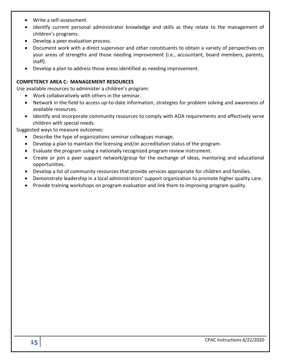- Write a self-assessment.
- Identify current personal administrator knowledge and skills as they relate to the management of children's programs.
- Develop a peer evaluation process.
- Document work with a direct supervisor and other constituents to obtain a variety of perspectives on your areas of strengths and those needing improvement (i.e., accountant, board members, parents, staff).
- Develop a plan to address those areas identified as needing improvement.

#### **COMPETENCY AREA C: MANAGEMENT RESOURCES**

Use available resources to administer a children's program:

- Work collaboratively with others in the seminar.
- Network in the field to access up-to-date information, strategies for problem solving and awareness of available resources.
- Identify and incorporate community resources to comply with ADA requirements and effectively serve children with special needs.

Suggested ways to measure outcomes:

- Describe the type of organizations seminar colleagues manage.
- Develop a plan to maintain the licensing and/or accreditation status of the program.
- Evaluate the program using a nationally recognized program review instrument.
- Create or join a peer support network/group for the exchange of ideas, mentoring and educational opportunities.
- Develop a list of community resources that provide services appropriate for children and families.
- Demonstrate leadership in a local administrators' support organization to promote higher quality care.
- Provide training workshops on program evaluation and link them to improving program quality.